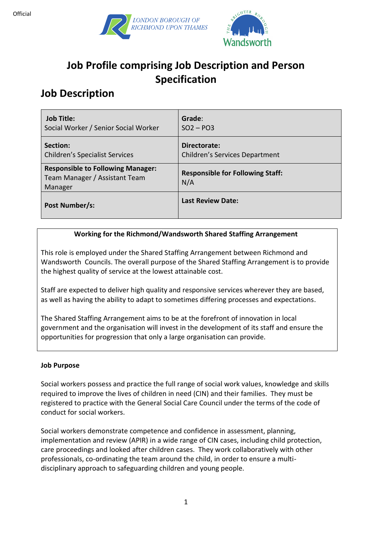



# **Job Profile comprising Job Description and Person Specification**

# **Job Description**

| <b>Job Title:</b>                                                                    | Grade:                                         |
|--------------------------------------------------------------------------------------|------------------------------------------------|
| Social Worker / Senior Social Worker                                                 | $SO2 - PO3$                                    |
| Section:                                                                             | Directorate:                                   |
| <b>Children's Specialist Services</b>                                                | <b>Children's Services Department</b>          |
| <b>Responsible to Following Manager:</b><br>Team Manager / Assistant Team<br>Manager | <b>Responsible for Following Staff:</b><br>N/A |
| Post Number/s:                                                                       | <b>Last Review Date:</b>                       |

### **Working for the Richmond/Wandsworth Shared Staffing Arrangement**

This role is employed under the Shared Staffing Arrangement between Richmond and Wandsworth Councils. The overall purpose of the Shared Staffing Arrangement is to provide the highest quality of service at the lowest attainable cost.

Staff are expected to deliver high quality and responsive services wherever they are based, as well as having the ability to adapt to sometimes differing processes and expectations.

The Shared Staffing Arrangement aims to be at the forefront of innovation in local government and the organisation will invest in the development of its staff and ensure the opportunities for progression that only a large organisation can provide.

#### **Job Purpose**

Social workers possess and practice the full range of social work values, knowledge and skills required to improve the lives of children in need (CIN) and their families. They must be registered to practice with the General Social Care Council under the terms of the code of conduct for social workers.

Social workers demonstrate competence and confidence in assessment, planning, implementation and review (APIR) in a wide range of CIN cases, including child protection, care proceedings and looked after children cases. They work collaboratively with other professionals, co-ordinating the team around the child, in order to ensure a multidisciplinary approach to safeguarding children and young people.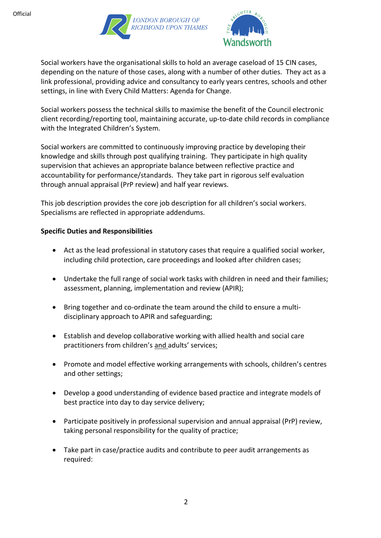



Social workers have the organisational skills to hold an average caseload of 15 CIN cases, depending on the nature of those cases, along with a number of other duties. They act as a link professional, providing advice and consultancy to early years centres, schools and other settings, in line with Every Child Matters: Agenda for Change.

Social workers possess the technical skills to maximise the benefit of the Council electronic client recording/reporting tool, maintaining accurate, up-to-date child records in compliance with the Integrated Children's System.

Social workers are committed to continuously improving practice by developing their knowledge and skills through post qualifying training. They participate in high quality supervision that achieves an appropriate balance between reflective practice and accountability for performance/standards. They take part in rigorous self evaluation through annual appraisal (PrP review) and half year reviews.

This job description provides the core job description for all children's social workers. Specialisms are reflected in appropriate addendums.

#### **Specific Duties and Responsibilities**

- Act as the lead professional in statutory cases that require a qualified social worker, including child protection, care proceedings and looked after children cases;
- Undertake the full range of social work tasks with children in need and their families; assessment, planning, implementation and review (APIR);
- Bring together and co-ordinate the team around the child to ensure a multidisciplinary approach to APIR and safeguarding;
- Establish and develop collaborative working with allied health and social care practitioners from children's and adults' services;
- Promote and model effective working arrangements with schools, children's centres and other settings;
- Develop a good understanding of evidence based practice and integrate models of best practice into day to day service delivery;
- Participate positively in professional supervision and annual appraisal (PrP) review, taking personal responsibility for the quality of practice;
- Take part in case/practice audits and contribute to peer audit arrangements as required: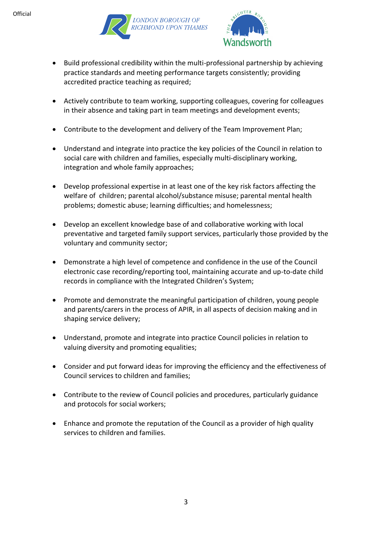



- Build professional credibility within the multi-professional partnership by achieving practice standards and meeting performance targets consistently; providing accredited practice teaching as required;
- Actively contribute to team working, supporting colleagues, covering for colleagues in their absence and taking part in team meetings and development events;
- Contribute to the development and delivery of the Team Improvement Plan;
- Understand and integrate into practice the key policies of the Council in relation to social care with children and families, especially multi-disciplinary working, integration and whole family approaches;
- Develop professional expertise in at least one of the key risk factors affecting the welfare of children; parental alcohol/substance misuse; parental mental health problems; domestic abuse; learning difficulties; and homelessness;
- Develop an excellent knowledge base of and collaborative working with local preventative and targeted family support services, particularly those provided by the voluntary and community sector;
- Demonstrate a high level of competence and confidence in the use of the Council electronic case recording/reporting tool, maintaining accurate and up-to-date child records in compliance with the Integrated Children's System;
- Promote and demonstrate the meaningful participation of children, young people and parents/carers in the process of APIR, in all aspects of decision making and in shaping service delivery;
- Understand, promote and integrate into practice Council policies in relation to valuing diversity and promoting equalities;
- Consider and put forward ideas for improving the efficiency and the effectiveness of Council services to children and families;
- Contribute to the review of Council policies and procedures, particularly guidance and protocols for social workers;
- Enhance and promote the reputation of the Council as a provider of high quality services to children and families.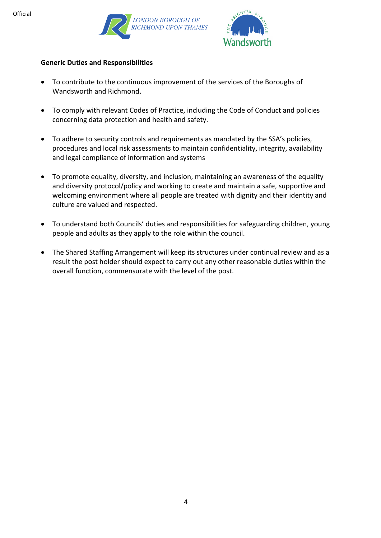



#### **Generic Duties and Responsibilities**

- To contribute to the continuous improvement of the services of the Boroughs of Wandsworth and Richmond.
- To comply with relevant Codes of Practice, including the Code of Conduct and policies concerning data protection and health and safety.
- To adhere to security controls and requirements as mandated by the SSA's policies, procedures and local risk assessments to maintain confidentiality, integrity, availability and legal compliance of information and systems
- To promote equality, diversity, and inclusion, maintaining an awareness of the equality and diversity protocol/policy and working to create and maintain a safe, supportive and welcoming environment where all people are treated with dignity and their identity and culture are valued and respected.
- To understand both Councils' duties and responsibilities for safeguarding children, young people and adults as they apply to the role within the council.
- The Shared Staffing Arrangement will keep its structures under continual review and as a result the post holder should expect to carry out any other reasonable duties within the overall function, commensurate with the level of the post.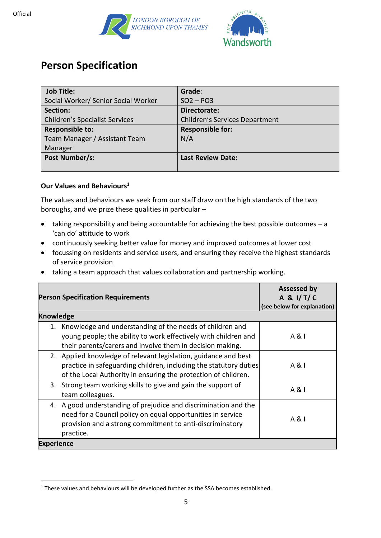



## **Person Specification**

| <b>Job Title:</b>                     | Grade:                                |
|---------------------------------------|---------------------------------------|
| Social Worker/ Senior Social Worker   | $SO2 - PO3$                           |
| Section:                              | Directorate:                          |
| <b>Children's Specialist Services</b> | <b>Children's Services Department</b> |
| <b>Responsible to:</b>                | <b>Responsible for:</b>               |
| Team Manager / Assistant Team         | N/A                                   |
| Manager                               |                                       |
| Post Number/s:                        | <b>Last Review Date:</b>              |
|                                       |                                       |

#### **Our Values and Behaviours<sup>1</sup>**

The values and behaviours we seek from our staff draw on the high standards of the two boroughs, and we prize these qualities in particular –

- taking responsibility and being accountable for achieving the best possible outcomes a 'can do' attitude to work
- continuously seeking better value for money and improved outcomes at lower cost
- focussing on residents and service users, and ensuring they receive the highest standards of service provision
- taking a team approach that values collaboration and partnership working.

| <b>Person Specification Requirements</b>                                                                                                                                                                | <b>Assessed by</b><br>A & I/T/C<br>(see below for explanation) |  |
|---------------------------------------------------------------------------------------------------------------------------------------------------------------------------------------------------------|----------------------------------------------------------------|--|
| <b>Knowledge</b>                                                                                                                                                                                        |                                                                |  |
| 1. Knowledge and understanding of the needs of children and<br>young people; the ability to work effectively with children and<br>their parents/carers and involve them in decision making.             | A & I                                                          |  |
| 2. Applied knowledge of relevant legislation, guidance and best<br>practice in safeguarding children, including the statutory duties<br>of the Local Authority in ensuring the protection of children.  | A & I                                                          |  |
| 3. Strong team working skills to give and gain the support of<br>team colleagues.                                                                                                                       | A & I                                                          |  |
| 4. A good understanding of prejudice and discrimination and the<br>need for a Council policy on equal opportunities in service<br>provision and a strong commitment to anti-discriminatory<br>practice. | $A \& I$                                                       |  |
| <b>Experience</b>                                                                                                                                                                                       |                                                                |  |

 $1$  These values and behaviours will be developed further as the SSA becomes established.